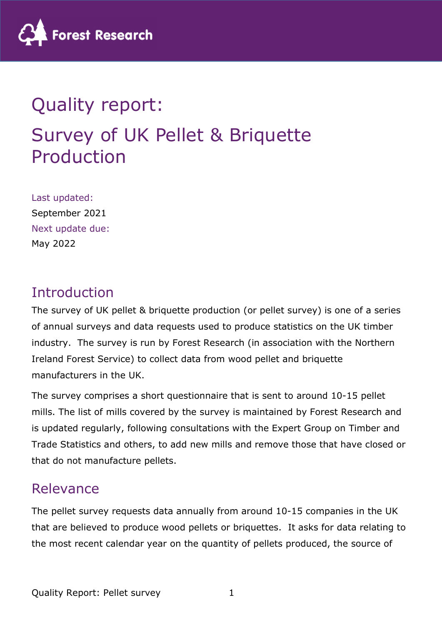

# Quality report: Survey of UK Pellet & Briquette Production

Last updated: September 2021 Next update due: May 2022

#### Introduction

The survey of UK pellet & briquette production (or pellet survey) is one of a series of annual surveys and data requests used to produce statistics on the UK timber industry. The survey is run by Forest Research (in association with the Northern Ireland Forest Service) to collect data from wood pellet and briquette manufacturers in the UK.

The survey comprises a short questionnaire that is sent to around 10-15 pellet mills. The list of mills covered by the survey is maintained by Forest Research and is updated regularly, following consultations with the Expert Group on Timber and Trade Statistics and others, to add new mills and remove those that have closed or that do not manufacture pellets.

#### Relevance

The pellet survey requests data annually from around 10-15 companies in the UK that are believed to produce wood pellets or briquettes. It asks for data relating to the most recent calendar year on the quantity of pellets produced, the source of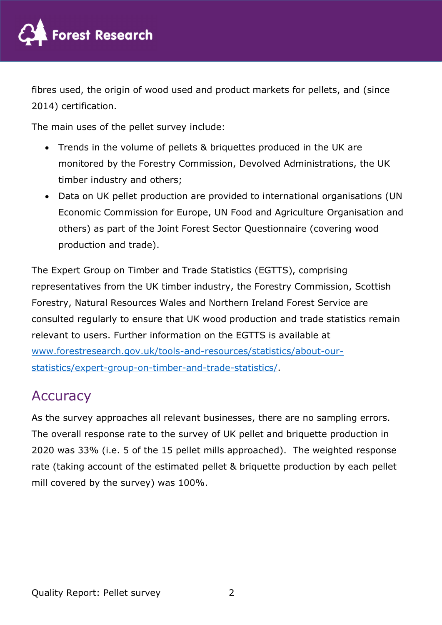

fibres used, the origin of wood used and product markets for pellets, and (since 2014) certification.

The main uses of the pellet survey include:

- Trends in the volume of pellets & briquettes produced in the UK are monitored by the Forestry Commission, Devolved Administrations, the UK timber industry and others;
- Data on UK pellet production are provided to international organisations (UN Economic Commission for Europe, UN Food and Agriculture Organisation and others) as part of the Joint Forest Sector Questionnaire (covering wood production and trade).

The Expert Group on Timber and Trade Statistics (EGTTS), comprising representatives from the UK timber industry, the Forestry Commission, Scottish Forestry, Natural Resources Wales and Northern Ireland Forest Service are consulted regularly to ensure that UK wood production and trade statistics remain relevant to users. Further information on the EGTTS is available at www.forestresearch.gov.uk/tools-and-resources/statistics/about-ourstatistics/expert-group-on-timber-and-trade-statistics/.

#### **Accuracy**

As the survey approaches all relevant businesses, there are no sampling errors. The overall response rate to the survey of UK pellet and briquette production in 2020 was 33% (i.e. 5 of the 15 pellet mills approached). The weighted response rate (taking account of the estimated pellet & briquette production by each pellet mill covered by the survey) was 100%.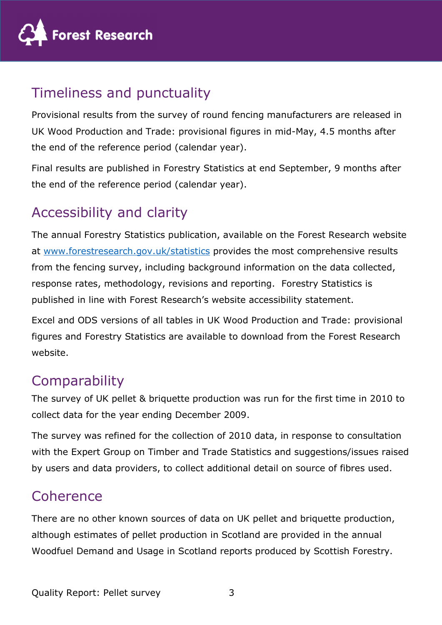

# Timeliness and punctuality

Provisional results from the survey of round fencing manufacturers are released in UK Wood Production and Trade: provisional figures in mid-May, 4.5 months after the end of the reference period (calendar year).

Final results are published in Forestry Statistics at end September, 9 months after the end of the reference period (calendar year).

## Accessibility and clarity

The annual Forestry Statistics publication, available on the Forest Research website at www.forestresearch.gov.uk/statistics provides the most comprehensive results from the fencing survey, including background information on the data collected, response rates, methodology, revisions and reporting. Forestry Statistics is published in line with Forest Research's website accessibility statement.

Excel and ODS versions of all tables in UK Wood Production and Trade: provisional figures and Forestry Statistics are available to download from the Forest Research website.

# **Comparability**

The survey of UK pellet & briquette production was run for the first time in 2010 to collect data for the year ending December 2009.

The survey was refined for the collection of 2010 data, in response to consultation with the Expert Group on Timber and Trade Statistics and suggestions/issues raised by users and data providers, to collect additional detail on source of fibres used.

### Coherence

There are no other known sources of data on UK pellet and briquette production, although estimates of pellet production in Scotland are provided in the annual Woodfuel Demand and Usage in Scotland reports produced by Scottish Forestry.